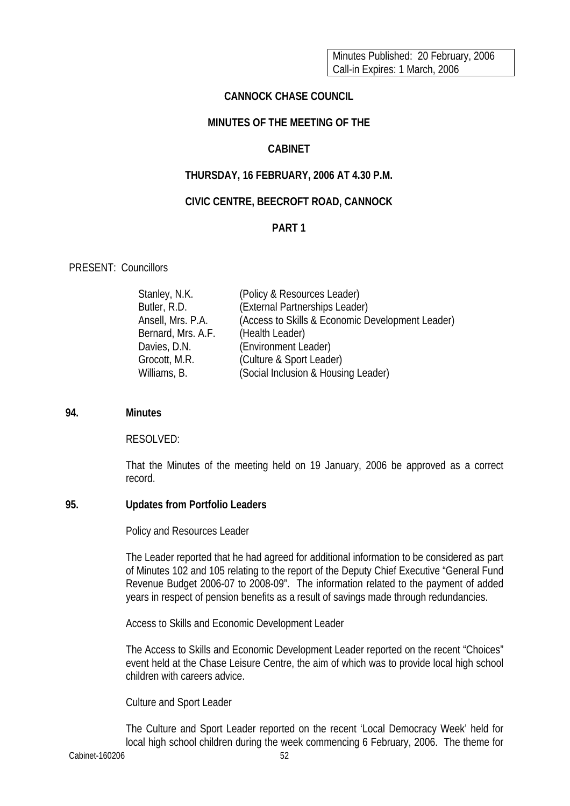Minutes Published: 20 February, 2006 Call-in Expires: 1 March, 2006

### **CANNOCK CHASE COUNCIL**

# **MINUTES OF THE MEETING OF THE**

#### **CABINET**

### **THURSDAY, 16 FEBRUARY, 2006 AT 4.30 P.M.**

#### **CIVIC CENTRE, BEECROFT ROAD, CANNOCK**

# **PART 1**

### PRESENT: Councillors

| Stanley, N.K.      | (Policy & Resources Leader)                      |
|--------------------|--------------------------------------------------|
| Butler, R.D.       | (External Partnerships Leader)                   |
| Ansell, Mrs. P.A.  | (Access to Skills & Economic Development Leader) |
| Bernard, Mrs. A.F. | (Health Leader)                                  |
| Davies, D.N.       | (Environment Leader)                             |
| Grocott, M.R.      | (Culture & Sport Leader)                         |
| Williams, B.       | (Social Inclusion & Housing Leader)              |

#### **94. Minutes**

#### RESOLVED:

That the Minutes of the meeting held on 19 January, 2006 be approved as a correct record.

#### **95. Updates from Portfolio Leaders**

Policy and Resources Leader

The Leader reported that he had agreed for additional information to be considered as part of Minutes 102 and 105 relating to the report of the Deputy Chief Executive "General Fund Revenue Budget 2006-07 to 2008-09". The information related to the payment of added years in respect of pension benefits as a result of savings made through redundancies.

Access to Skills and Economic Development Leader

The Access to Skills and Economic Development Leader reported on the recent "Choices" event held at the Chase Leisure Centre, the aim of which was to provide local high school children with careers advice.

Culture and Sport Leader

The Culture and Sport Leader reported on the recent 'Local Democracy Week' held for local high school children during the week commencing 6 February, 2006. The theme for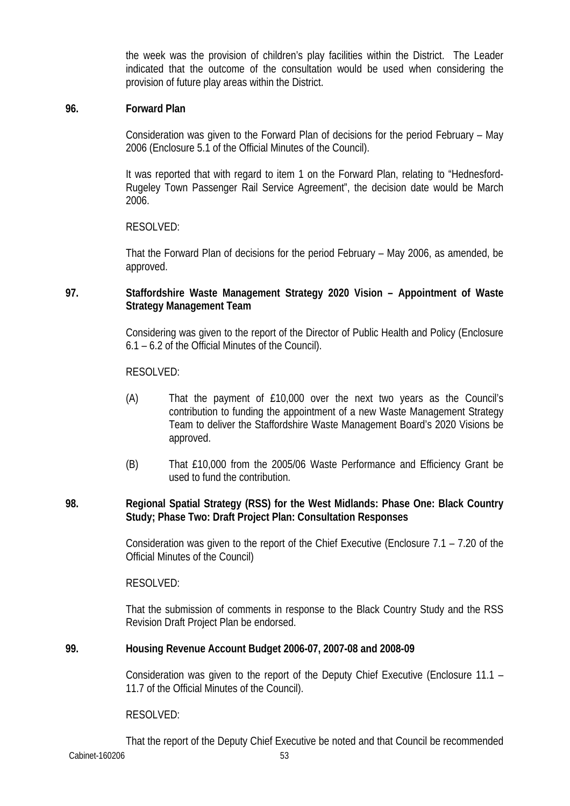the week was the provision of children's play facilities within the District. The Leader indicated that the outcome of the consultation would be used when considering the provision of future play areas within the District.

### **96. Forward Plan**

 Consideration was given to the Forward Plan of decisions for the period February – May 2006 (Enclosure 5.1 of the Official Minutes of the Council).

 It was reported that with regard to item 1 on the Forward Plan, relating to "Hednesford-Rugeley Town Passenger Rail Service Agreement", the decision date would be March 2006.

RESOLVED:

 That the Forward Plan of decisions for the period February – May 2006, as amended, be approved.

## **97. Staffordshire Waste Management Strategy 2020 Vision – Appointment of Waste Strategy Management Team**

 Considering was given to the report of the Director of Public Health and Policy (Enclosure 6.1 – 6.2 of the Official Minutes of the Council).

### RESOLVED:

- (A) That the payment of £10,000 over the next two years as the Council's contribution to funding the appointment of a new Waste Management Strategy Team to deliver the Staffordshire Waste Management Board's 2020 Visions be approved.
- (B) That £10,000 from the 2005/06 Waste Performance and Efficiency Grant be used to fund the contribution.

### **98. Regional Spatial Strategy (RSS) for the West Midlands: Phase One: Black Country Study; Phase Two: Draft Project Plan: Consultation Responses**

Consideration was given to the report of the Chief Executive (Enclosure 7.1 – 7.20 of the Official Minutes of the Council)

RESOLVED:

 That the submission of comments in response to the Black Country Study and the RSS Revision Draft Project Plan be endorsed.

# **99. Housing Revenue Account Budget 2006-07, 2007-08 and 2008-09**

Consideration was given to the report of the Deputy Chief Executive (Enclosure 11.1 – 11.7 of the Official Minutes of the Council).

### RESOLVED:

Cabinet-160206 53 That the report of the Deputy Chief Executive be noted and that Council be recommended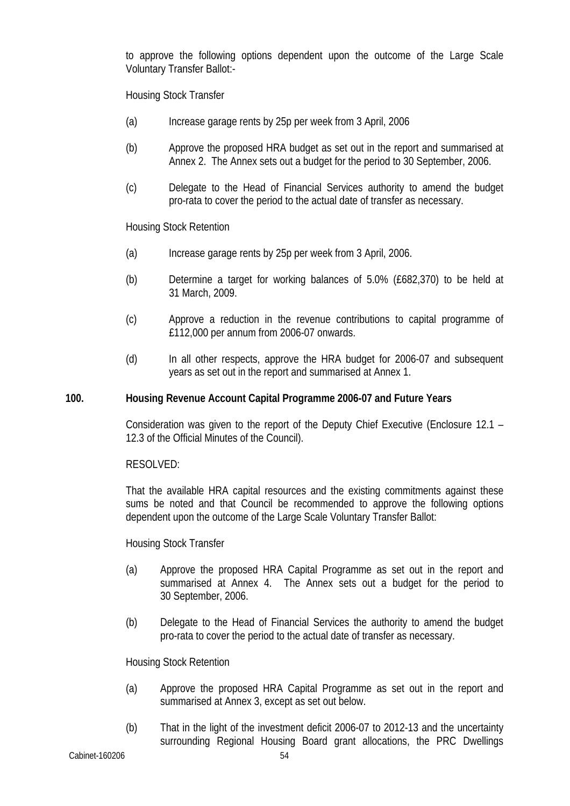to approve the following options dependent upon the outcome of the Large Scale Voluntary Transfer Ballot:-

Housing Stock Transfer

- (a) Increase garage rents by 25p per week from 3 April, 2006
- (b) Approve the proposed HRA budget as set out in the report and summarised at Annex 2. The Annex sets out a budget for the period to 30 September, 2006.
- (c) Delegate to the Head of Financial Services authority to amend the budget pro-rata to cover the period to the actual date of transfer as necessary.

Housing Stock Retention

- (a) Increase garage rents by 25p per week from 3 April, 2006.
- (b) Determine a target for working balances of 5.0% (£682,370) to be held at 31 March, 2009.
- (c) Approve a reduction in the revenue contributions to capital programme of £112,000 per annum from 2006-07 onwards.
- (d) In all other respects, approve the HRA budget for 2006-07 and subsequent years as set out in the report and summarised at Annex 1.

# **100. Housing Revenue Account Capital Programme 2006-07 and Future Years**

Consideration was given to the report of the Deputy Chief Executive (Enclosure 12.1 – 12.3 of the Official Minutes of the Council).

RESOLVED:

That the available HRA capital resources and the existing commitments against these sums be noted and that Council be recommended to approve the following options dependent upon the outcome of the Large Scale Voluntary Transfer Ballot:

Housing Stock Transfer

- (a) Approve the proposed HRA Capital Programme as set out in the report and summarised at Annex 4. The Annex sets out a budget for the period to 30 September, 2006.
- (b) Delegate to the Head of Financial Services the authority to amend the budget pro-rata to cover the period to the actual date of transfer as necessary.

Housing Stock Retention

- (a) Approve the proposed HRA Capital Programme as set out in the report and summarised at Annex 3, except as set out below.
- (b) That in the light of the investment deficit 2006-07 to 2012-13 and the uncertainty surrounding Regional Housing Board grant allocations, the PRC Dwellings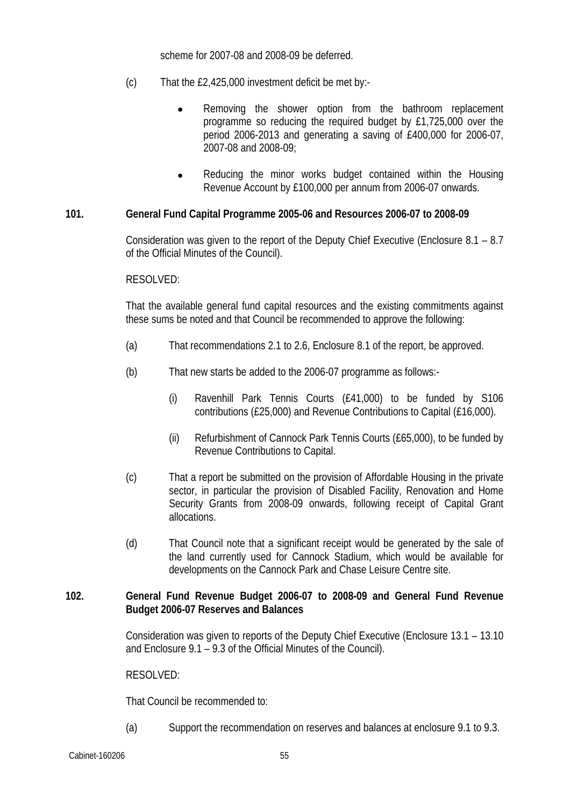scheme for 2007-08 and 2008-09 be deferred.

- (c) That the £2,425,000 investment deficit be met by:-
	- Removing the shower option from the bathroom replacement programme so reducing the required budget by £1,725,000 over the period 2006-2013 and generating a saving of £400,000 for 2006-07, 2007-08 and 2008-09;
	- Reducing the minor works budget contained within the Housing Revenue Account by £100,000 per annum from 2006-07 onwards.

### **101. General Fund Capital Programme 2005-06 and Resources 2006-07 to 2008-09**

Consideration was given to the report of the Deputy Chief Executive (Enclosure 8.1 – 8.7 of the Official Minutes of the Council).

### RESOLVED:

That the available general fund capital resources and the existing commitments against these sums be noted and that Council be recommended to approve the following:

- (a) That recommendations 2.1 to 2.6, Enclosure 8.1 of the report, be approved.
- (b) That new starts be added to the 2006-07 programme as follows:-
	- (i) Ravenhill Park Tennis Courts (£41,000) to be funded by S106 contributions (£25,000) and Revenue Contributions to Capital (£16,000).
	- (ii) Refurbishment of Cannock Park Tennis Courts (£65,000), to be funded by Revenue Contributions to Capital.
- (c) That a report be submitted on the provision of Affordable Housing in the private sector, in particular the provision of Disabled Facility, Renovation and Home Security Grants from 2008-09 onwards, following receipt of Capital Grant allocations.
- (d) That Council note that a significant receipt would be generated by the sale of the land currently used for Cannock Stadium, which would be available for developments on the Cannock Park and Chase Leisure Centre site.

### **102. General Fund Revenue Budget 2006-07 to 2008-09 and General Fund Revenue Budget 2006-07 Reserves and Balances**

Consideration was given to reports of the Deputy Chief Executive (Enclosure 13.1 – 13.10 and Enclosure 9.1 – 9.3 of the Official Minutes of the Council).

#### RESOLVED:

That Council be recommended to:

(a) Support the recommendation on reserves and balances at enclosure 9.1 to 9.3.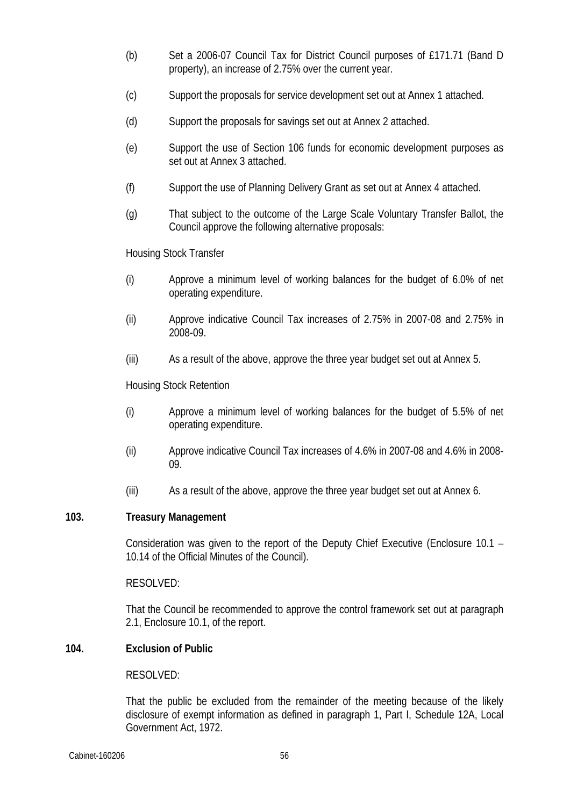- (b) Set a 2006-07 Council Tax for District Council purposes of £171.71 (Band D property), an increase of 2.75% over the current year.
- (c) Support the proposals for service development set out at Annex 1 attached.
- (d) Support the proposals for savings set out at Annex 2 attached.
- (e) Support the use of Section 106 funds for economic development purposes as set out at Annex 3 attached.
- (f) Support the use of Planning Delivery Grant as set out at Annex 4 attached.
- (g) That subject to the outcome of the Large Scale Voluntary Transfer Ballot, the Council approve the following alternative proposals:

Housing Stock Transfer

- (i) Approve a minimum level of working balances for the budget of 6.0% of net operating expenditure.
- (ii) Approve indicative Council Tax increases of 2.75% in 2007-08 and 2.75% in 2008-09.
- (iii) As a result of the above, approve the three year budget set out at Annex 5.

Housing Stock Retention

- (i) Approve a minimum level of working balances for the budget of 5.5% of net operating expenditure.
- (ii) Approve indicative Council Tax increases of 4.6% in 2007-08 and 4.6% in 2008- 09.
- (iii) As a result of the above, approve the three year budget set out at Annex 6.

### **103. Treasury Management**

Consideration was given to the report of the Deputy Chief Executive (Enclosure 10.1 – 10.14 of the Official Minutes of the Council).

### RESOLVED:

That the Council be recommended to approve the control framework set out at paragraph 2.1, Enclosure 10.1, of the report.

# **104. Exclusion of Public**

### RESOLVED:

That the public be excluded from the remainder of the meeting because of the likely disclosure of exempt information as defined in paragraph 1, Part I, Schedule 12A, Local Government Act, 1972.